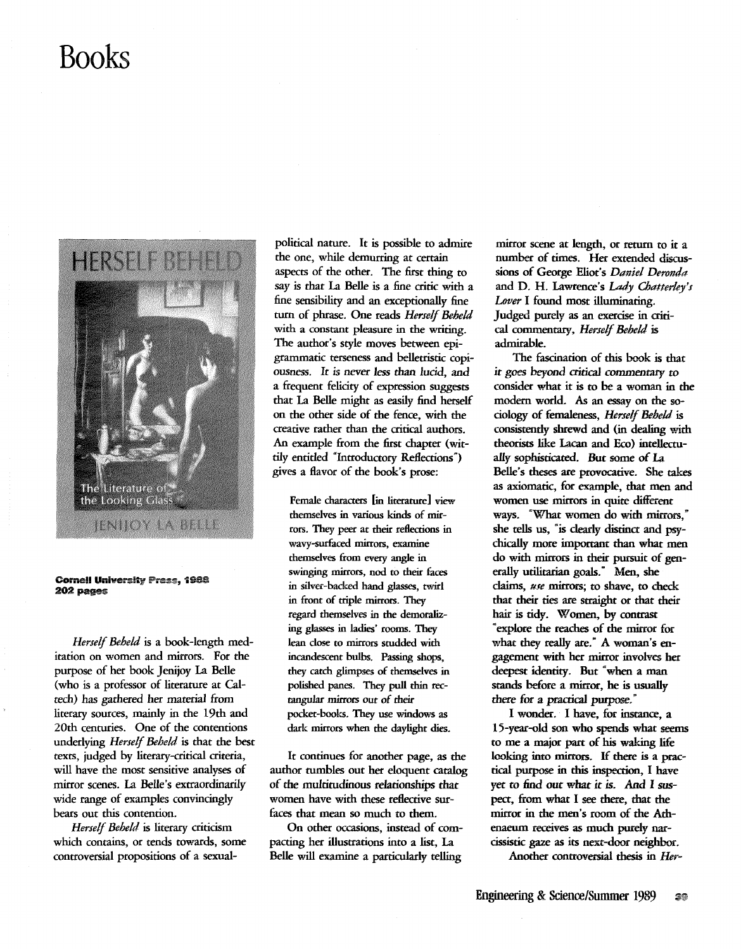## **Books**



## Cornell University Press, 1988 202 pages

*Herself Beheld* is a book-length meditation on women and mirrors. For the purpose of her book Jenijoy La Belle (who is a professor of literature at Caltech) has gathered her material from literary sources, mainly in the 19th and 20th centuries. One of the contentions underlying *Herself Beheld* is that the best texrs, judged by literary-critical criteria, will have the most sensitive analyses of mirror scenes. La Belle's extraordinarily wide range of examples convincingly bears out this contention.

*Herself Beheld* is literary criticism which contains, or tends towards, some controversial propositions of a sexual-

political nature. It is possible to admire the one, while demurring at certain aspects of the other. The first thing to say is that La Belle is a fine critic with a fine sensibility and an exceptionally fine tum of phrase. One reads *Herself Beheld*  with a constant pleasure in the writing. The author's style moves between epigrammatic terseness and belletristic copiousness. It is never *less* than *lucid,* and a frequent felicity of expression suggesrs that La Belle might as easily find herself on the other side of the fence, with the creative rather than the critical authors. An example from the first chapter (wittily entitled "Introductory Reflections") gives a flavor of the book's prose:

Female characters lin literature] view themselves in various kinds of mirrors. They peer at their reHections in wavy-surfaced mirrors, examine themselves from every angle in swinging mirrors, nod to their faces in silver-backed hand glasses, twirl in front of triple mirrors. They regard themselves in the demoralizing glasses in ladies' rooms. They lean dose to mirrors studded with incandescent bulbs. Passing shops, they catch glimpses of themselves in polished panes. They pull thin rectangular mirrors out of their pocket-books. They use windows as dark mirrors when the daylight dies.

It continues for another page, as the author tumbles out her eloquent catalog of the multitudinous relationships that women have with these reflective surfaces that mean so much to them.

On other occasions, instead of compacting her illustrations into a list, La Belle will examine a particularly telling

mirror scene at length, or return to it a number of times. Her extended discussions of George Eliot's *Daniel Deronda*  and D. H. lawrence's *Lady Chatterley's Lover* I found most illuminating. Judged purely as an exercise in critical commentary, *Herself Beheld* is admirable.

The fascination of this book is that *it* goes beyond critical *commentary* to consider what it is to be a woman in the modern world. As an essay on the sociology of femaleness, *Herself Beheld* is consistently shrewd and (in dealing with theorists like Lacan and Eco) intellectually sophisticated. But some of La Belle's theses are ptovocative. She takes as axiomatic, for example, that men and women use mirrors in quite different ways. "What women do with mirrors," she tells us, "is dearly distinct and psychically more important than what *men*  do with mirrors in their pursuit of generally utilitarian goals.<sup>\*</sup> Men, she claims, *use* mirrors; to shave, to check that their ties are straight or that their hair is tidy. Women, by contrast «explore the reaches of the mirror for what they really are." A woman's engagement with her mirror involves her deepest identity. But "when a man stands before a mirror, he is usually there for a practical purpose.<sup>•</sup>

I wonder. I have, for instance, a 15-year-old son who spends what seems to me a major part of his waking life looking into mirrors. If there is a practical purpose in this inspection, I have yet to lind out what *it* is. *And* I suspect, from what I see there, thar the mirror in the men's room of the Athenaeum receives as much purely narcissistic gaze as its next-door neighbor.

Another controversial thesis in *Her-*